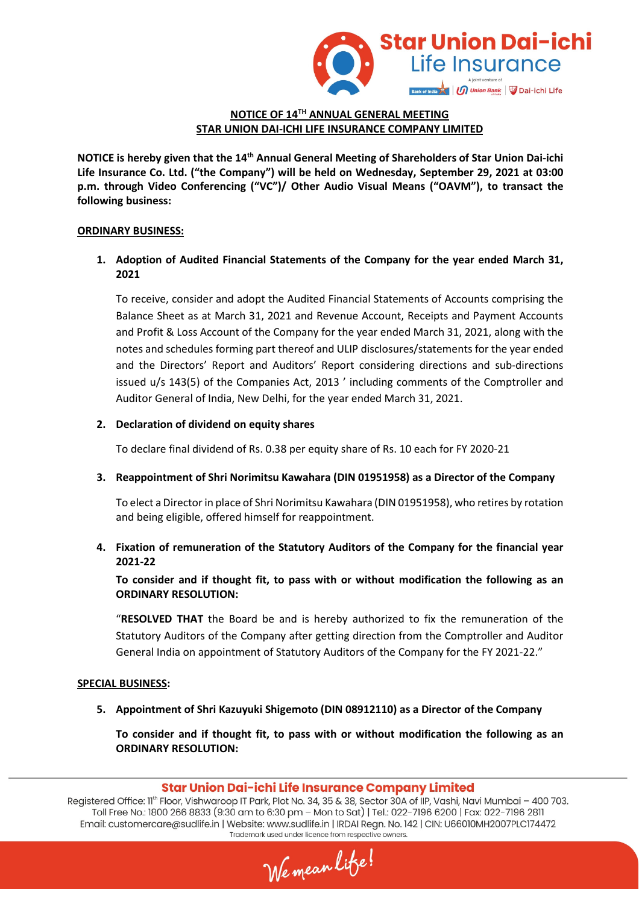

### **NOTICE OF 14TH ANNUAL GENERAL MEETING STAR UNION DAI-ICHI LIFE INSURANCE COMPANY LIMITED**

**NOTICE is hereby given that the 14th Annual General Meeting of Shareholders of Star Union Dai-ichi Life Insurance Co. Ltd. ("the Company") will be held on Wednesday, September 29, 2021 at 03:00 p.m. through Video Conferencing ("VC")/ Other Audio Visual Means ("OAVM"), to transact the following business:** 

#### **ORDINARY BUSINESS:**

### **1. Adoption of Audited Financial Statements of the Company for the year ended March 31, 2021**

To receive, consider and adopt the Audited Financial Statements of Accounts comprising the Balance Sheet as at March 31, 2021 and Revenue Account, Receipts and Payment Accounts and Profit & Loss Account of the Company for the year ended March 31, 2021, along with the notes and schedules forming part thereof and ULIP disclosures/statements for the year ended and the Directors' Report and Auditors' Report considering directions and sub-directions issued u/s 143(5) of the Companies Act, 2013 ' including comments of the Comptroller and Auditor General of India, New Delhi, for the year ended March 31, 2021.

#### **2. Declaration of dividend on equity shares**

To declare final dividend of Rs. 0.38 per equity share of Rs. 10 each for FY 2020-21

**3. Reappointment of Shri Norimitsu Kawahara (DIN 01951958) as a Director of the Company** 

To elect a Director in place of Shri Norimitsu Kawahara (DIN 01951958), who retires by rotation and being eligible, offered himself for reappointment.

### **4. Fixation of remuneration of the Statutory Auditors of the Company for the financial year 2021-22**

**To consider and if thought fit, to pass with or without modification the following as an ORDINARY RESOLUTION:** 

"**RESOLVED THAT** the Board be and is hereby authorized to fix the remuneration of the Statutory Auditors of the Company after getting direction from the Comptroller and Auditor General India on appointment of Statutory Auditors of the Company for the FY 2021-22."

#### **SPECIAL BUSINESS:**

**5. Appointment of Shri Kazuyuki Shigemoto (DIN 08912110) as a Director of the Company** 

**To consider and if thought fit, to pass with or without modification the following as an ORDINARY RESOLUTION:** 

#### Star Union Dai-ichi Life Insurance Company Limited

We mean lite!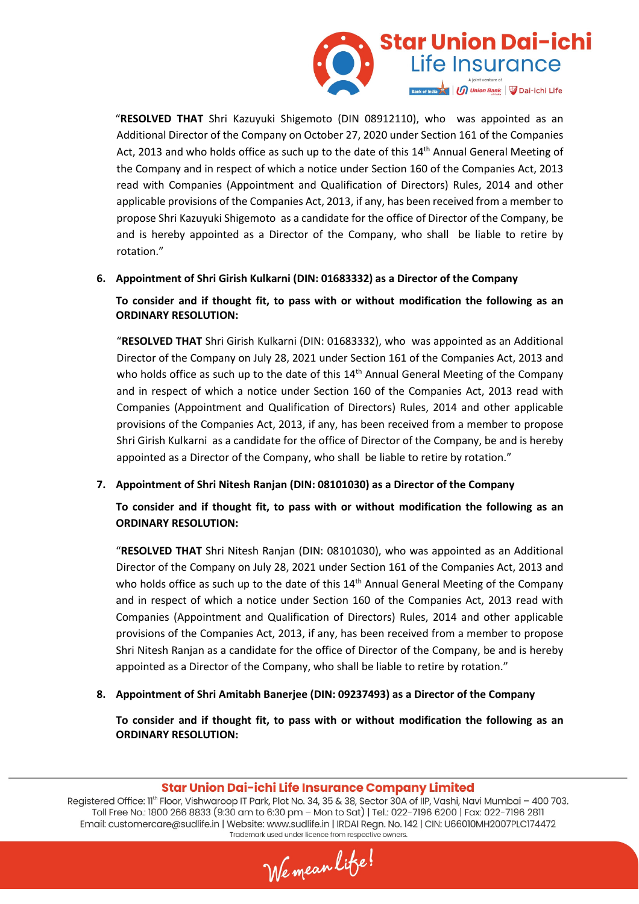

"**RESOLVED THAT** Shri Kazuyuki Shigemoto (DIN 08912110), who was appointed as an Additional Director of the Company on October 27, 2020 under Section 161 of the Companies Act, 2013 and who holds office as such up to the date of this 14<sup>th</sup> Annual General Meeting of the Company and in respect of which a notice under Section 160 of the Companies Act, 2013 read with Companies (Appointment and Qualification of Directors) Rules, 2014 and other applicable provisions of the Companies Act, 2013, if any, has been received from a member to propose Shri Kazuyuki Shigemoto as a candidate for the office of Director of the Company, be and is hereby appointed as a Director of the Company, who shall be liable to retire by rotation."

### **6. Appointment of Shri Girish Kulkarni (DIN: 01683332) as a Director of the Company**

### **To consider and if thought fit, to pass with or without modification the following as an ORDINARY RESOLUTION:**

"**RESOLVED THAT** Shri Girish Kulkarni (DIN: 01683332), who was appointed as an Additional Director of the Company on July 28, 2021 under Section 161 of the Companies Act, 2013 and who holds office as such up to the date of this 14<sup>th</sup> Annual General Meeting of the Company and in respect of which a notice under Section 160 of the Companies Act, 2013 read with Companies (Appointment and Qualification of Directors) Rules, 2014 and other applicable provisions of the Companies Act, 2013, if any, has been received from a member to propose Shri Girish Kulkarni as a candidate for the office of Director of the Company, be and is hereby appointed as a Director of the Company, who shall be liable to retire by rotation."

### **7. Appointment of Shri Nitesh Ranjan (DIN: 08101030) as a Director of the Company**

## **To consider and if thought fit, to pass with or without modification the following as an ORDINARY RESOLUTION:**

"**RESOLVED THAT** Shri Nitesh Ranjan (DIN: 08101030), who was appointed as an Additional Director of the Company on July 28, 2021 under Section 161 of the Companies Act, 2013 and who holds office as such up to the date of this  $14<sup>th</sup>$  Annual General Meeting of the Company and in respect of which a notice under Section 160 of the Companies Act, 2013 read with Companies (Appointment and Qualification of Directors) Rules, 2014 and other applicable provisions of the Companies Act, 2013, if any, has been received from a member to propose Shri Nitesh Ranjan as a candidate for the office of Director of the Company, be and is hereby appointed as a Director of the Company, who shall be liable to retire by rotation."

**8. Appointment of Shri Amitabh Banerjee (DIN: 09237493) as a Director of the Company** 

**To consider and if thought fit, to pass with or without modification the following as an ORDINARY RESOLUTION:** 

### Star Union Dai-ichi Life Insurance Company Limited

We mean lite!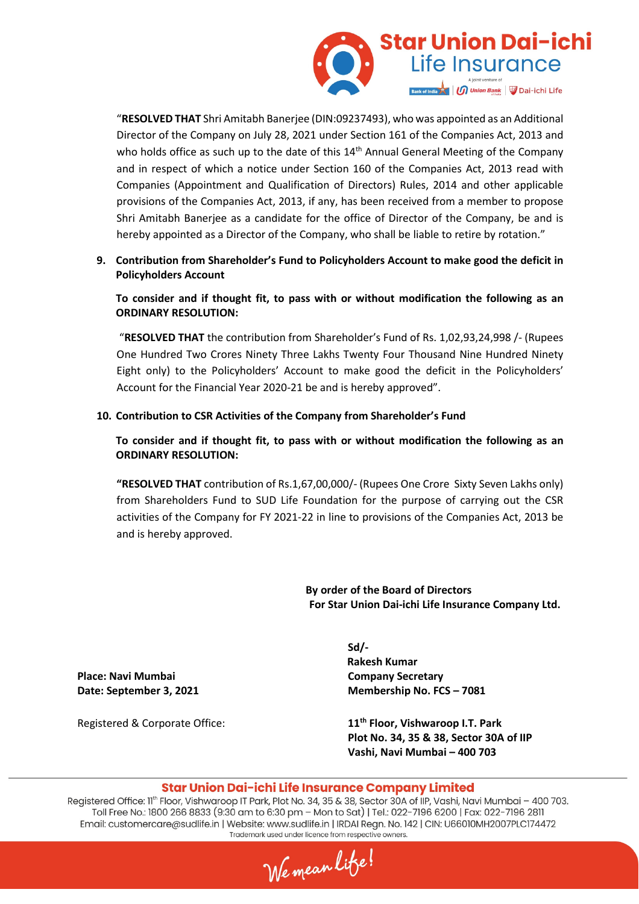

"**RESOLVED THAT** Shri Amitabh Banerjee (DIN:09237493), who was appointed as an Additional Director of the Company on July 28, 2021 under Section 161 of the Companies Act, 2013 and who holds office as such up to the date of this 14<sup>th</sup> Annual General Meeting of the Company and in respect of which a notice under Section 160 of the Companies Act, 2013 read with Companies (Appointment and Qualification of Directors) Rules, 2014 and other applicable provisions of the Companies Act, 2013, if any, has been received from a member to propose Shri Amitabh Banerjee as a candidate for the office of Director of the Company, be and is hereby appointed as a Director of the Company, who shall be liable to retire by rotation."

**9. Contribution from Shareholder's Fund to Policyholders Account to make good the deficit in Policyholders Account** 

**To consider and if thought fit, to pass with or without modification the following as an ORDINARY RESOLUTION:** 

 "**RESOLVED THAT** the contribution from Shareholder's Fund of Rs. 1,02,93,24,998 /- (Rupees One Hundred Two Crores Ninety Three Lakhs Twenty Four Thousand Nine Hundred Ninety Eight only) to the Policyholders' Account to make good the deficit in the Policyholders' Account for the Financial Year 2020-21 be and is hereby approved".

#### **10. Contribution to CSR Activities of the Company from Shareholder's Fund**

**To consider and if thought fit, to pass with or without modification the following as an ORDINARY RESOLUTION:** 

**"RESOLVED THAT** contribution of Rs.1,67,00,000/- (Rupees One Crore Sixty Seven Lakhs only) from Shareholders Fund to SUD Life Foundation for the purpose of carrying out the CSR activities of the Company for FY 2021-22 in line to provisions of the Companies Act, 2013 be and is hereby approved.

> **By order of the Board of Directors For Star Union Dai-ichi Life Insurance Company Ltd.**

**Place: Navi Mumbai Company Secretary Company Secretary** 

**Sd/- Rakesh Kumar Date: September 3, 2021 Membership No. FCS – 7081** 

Registered & Corporate Office: **11th Floor, Vishwaroop I.T. Park Plot No. 34, 35 & 38, Sector 30A of IIP Vashi, Navi Mumbai – 400 703** 

#### Star Union Dai-ichi Life Insurance Company Limited

We mean lite!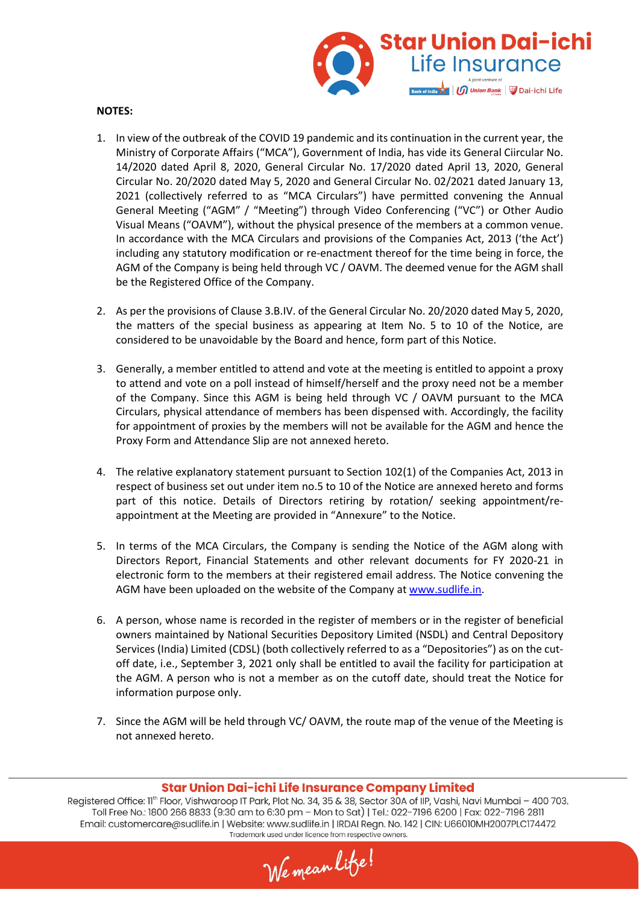

#### **NOTES:**

- 1. In view of the outbreak of the COVID 19 pandemic and its continuation in the current year, the Ministry of Corporate Affairs ("MCA"), Government of India, has vide its General Ciircular No. 14/2020 dated April 8, 2020, General Circular No. 17/2020 dated April 13, 2020, General Circular No. 20/2020 dated May 5, 2020 and General Circular No. 02/2021 dated January 13, 2021 (collectively referred to as "MCA Circulars") have permitted convening the Annual General Meeting ("AGM" / "Meeting") through Video Conferencing ("VC") or Other Audio Visual Means ("OAVM"), without the physical presence of the members at a common venue. In accordance with the MCA Circulars and provisions of the Companies Act, 2013 ('the Act') including any statutory modification or re-enactment thereof for the time being in force, the AGM of the Company is being held through VC / OAVM. The deemed venue for the AGM shall be the Registered Office of the Company.
- 2. As per the provisions of Clause 3.B.IV. of the General Circular No. 20/2020 dated May 5, 2020, the matters of the special business as appearing at Item No. 5 to 10 of the Notice, are considered to be unavoidable by the Board and hence, form part of this Notice.
- 3. Generally, a member entitled to attend and vote at the meeting is entitled to appoint a proxy to attend and vote on a poll instead of himself/herself and the proxy need not be a member of the Company. Since this AGM is being held through VC / OAVM pursuant to the MCA Circulars, physical attendance of members has been dispensed with. Accordingly, the facility for appointment of proxies by the members will not be available for the AGM and hence the Proxy Form and Attendance Slip are not annexed hereto.
- 4. The relative explanatory statement pursuant to Section 102(1) of the Companies Act, 2013 in respect of business set out under item no.5 to 10 of the Notice are annexed hereto and forms part of this notice. Details of Directors retiring by rotation/ seeking appointment/reappointment at the Meeting are provided in "Annexure" to the Notice.
- 5. In terms of the MCA Circulars, the Company is sending the Notice of the AGM along with Directors Report, Financial Statements and other relevant documents for FY 2020-21 in electronic form to the members at their registered email address. The Notice convening the AGM have been uploaded on the website of the Company at www.sudlife.in.
- 6. A person, whose name is recorded in the register of members or in the register of beneficial owners maintained by National Securities Depository Limited (NSDL) and Central Depository Services (India) Limited (CDSL) (both collectively referred to as a "Depositories") as on the cutoff date, i.e., September 3, 2021 only shall be entitled to avail the facility for participation at the AGM. A person who is not a member as on the cutoff date, should treat the Notice for information purpose only.
- 7. Since the AGM will be held through VC/ OAVM, the route map of the venue of the Meeting is not annexed hereto.

#### Star Union Dai-ichi Life Insurance Company Limited

We mean lite!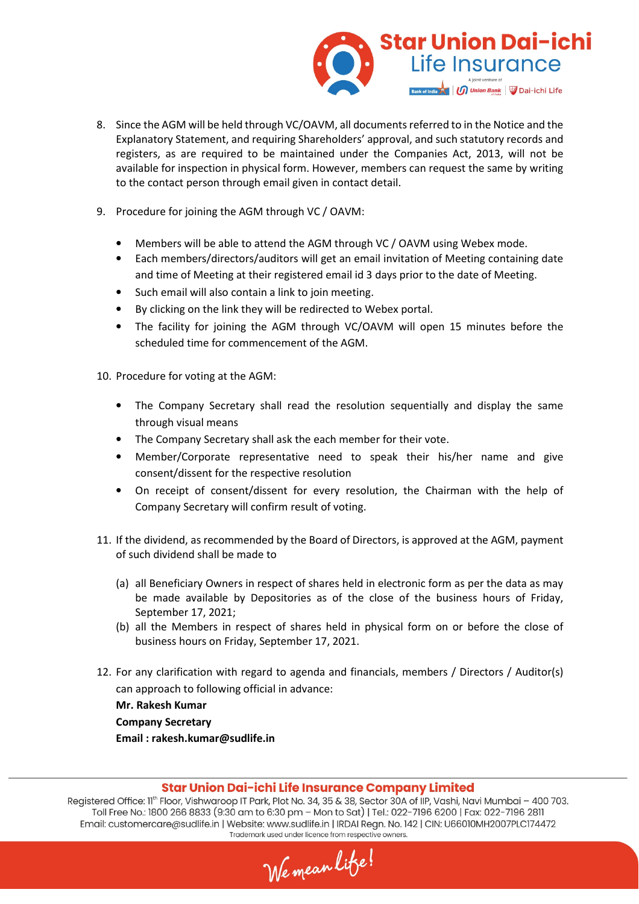

- 8. Since the AGM will be held through VC/OAVM, all documents referred to in the Notice and the Explanatory Statement, and requiring Shareholders' approval, and such statutory records and registers, as are required to be maintained under the Companies Act, 2013, will not be available for inspection in physical form. However, members can request the same by writing to the contact person through email given in contact detail.
- 9. Procedure for joining the AGM through VC / OAVM:
	- Members will be able to attend the AGM through VC / OAVM using Webex mode.
	- Each members/directors/auditors will get an email invitation of Meeting containing date and time of Meeting at their registered email id 3 days prior to the date of Meeting.
	- Such email will also contain a link to join meeting.
	- By clicking on the link they will be redirected to Webex portal.
	- The facility for joining the AGM through VC/OAVM will open 15 minutes before the scheduled time for commencement of the AGM.

10. Procedure for voting at the AGM:

- The Company Secretary shall read the resolution sequentially and display the same through visual means
- The Company Secretary shall ask the each member for their vote.
- Member/Corporate representative need to speak their his/her name and give consent/dissent for the respective resolution
- On receipt of consent/dissent for every resolution, the Chairman with the help of Company Secretary will confirm result of voting.
- 11. If the dividend, as recommended by the Board of Directors, is approved at the AGM, payment of such dividend shall be made to
	- (a) all Beneficiary Owners in respect of shares held in electronic form as per the data as may be made available by Depositories as of the close of the business hours of Friday, September 17, 2021;
	- (b) all the Members in respect of shares held in physical form on or before the close of business hours on Friday, September 17, 2021.
- 12. For any clarification with regard to agenda and financials, members / Directors / Auditor(s) can approach to following official in advance:

**Mr. Rakesh Kumar** 

**Company Secretary** 

**Email : rakesh.kumar@sudlife.in** 

#### Star Union Dai-ichi Life Insurance Company Limited

We mean lite!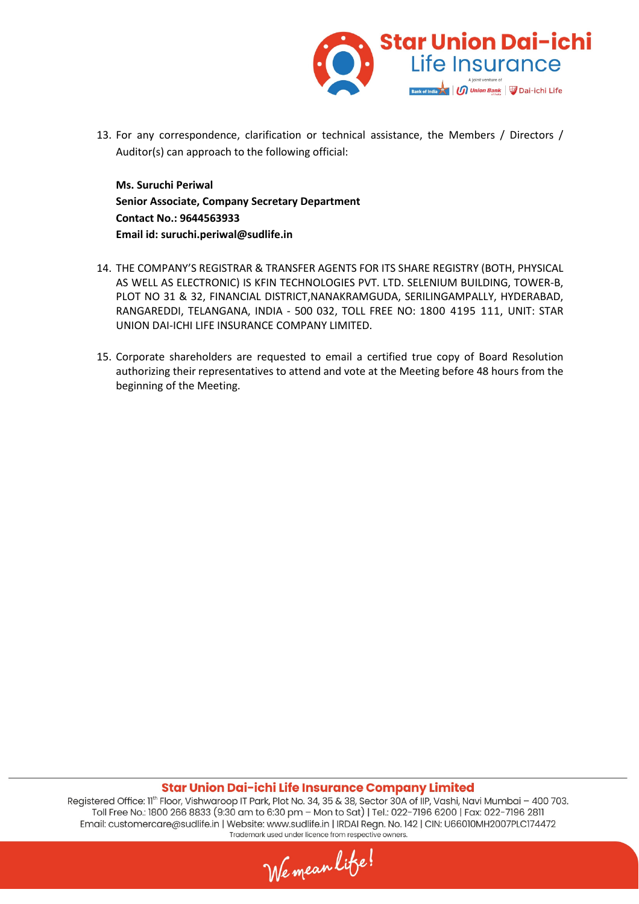

13. For any correspondence, clarification or technical assistance, the Members / Directors / Auditor(s) can approach to the following official:

**Ms. Suruchi Periwal Senior Associate, Company Secretary Department Contact No.: 9644563933 Email id: suruchi.periwal@sudlife.in**

- 14. THE COMPANY'S REGISTRAR & TRANSFER AGENTS FOR ITS SHARE REGISTRY (BOTH, PHYSICAL AS WELL AS ELECTRONIC) IS KFIN TECHNOLOGIES PVT. LTD. SELENIUM BUILDING, TOWER-B, PLOT NO 31 & 32, FINANCIAL DISTRICT,NANAKRAMGUDA, SERILINGAMPALLY, HYDERABAD, RANGAREDDI, TELANGANA, INDIA - 500 032, TOLL FREE NO: 1800 4195 111, UNIT: STAR UNION DAI-ICHI LIFE INSURANCE COMPANY LIMITED.
- 15. Corporate shareholders are requested to email a certified true copy of Board Resolution authorizing their representatives to attend and vote at the Meeting before 48 hours from the beginning of the Meeting.

#### Star Union Dai-ichi Life Insurance Company Limited

We mean lite!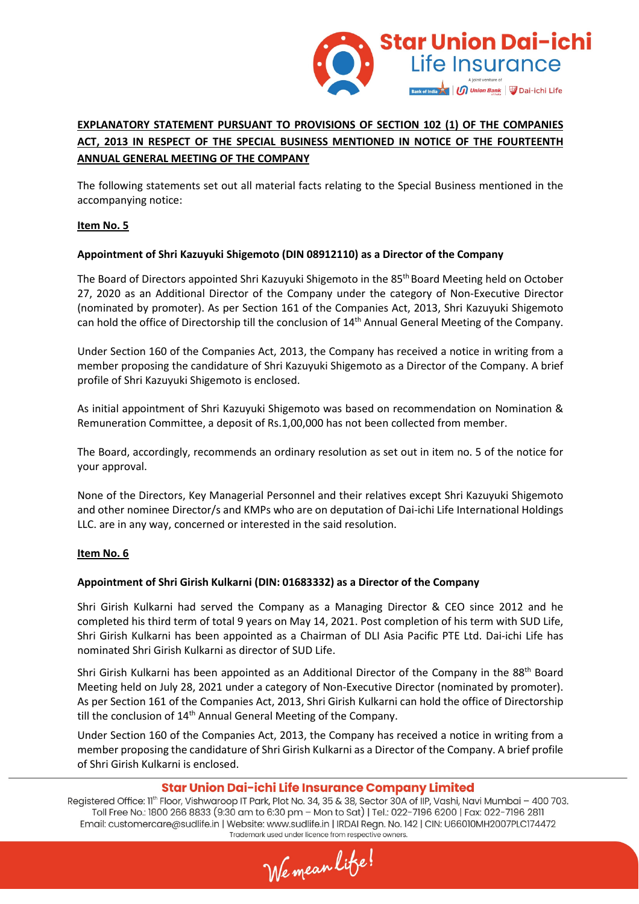

# **EXPLANATORY STATEMENT PURSUANT TO PROVISIONS OF SECTION 102 (1) OF THE COMPANIES ACT, 2013 IN RESPECT OF THE SPECIAL BUSINESS MENTIONED IN NOTICE OF THE FOURTEENTH ANNUAL GENERAL MEETING OF THE COMPANY**

The following statements set out all material facts relating to the Special Business mentioned in the accompanying notice:

### **Item No. 5**

### **Appointment of Shri Kazuyuki Shigemoto (DIN 08912110) as a Director of the Company**

The Board of Directors appointed Shri Kazuyuki Shigemoto in the 85<sup>th</sup> Board Meeting held on October 27, 2020 as an Additional Director of the Company under the category of Non-Executive Director (nominated by promoter). As per Section 161 of the Companies Act, 2013, Shri Kazuyuki Shigemoto can hold the office of Directorship till the conclusion of 14th Annual General Meeting of the Company.

Under Section 160 of the Companies Act, 2013, the Company has received a notice in writing from a member proposing the candidature of Shri Kazuyuki Shigemoto as a Director of the Company. A brief profile of Shri Kazuyuki Shigemoto is enclosed.

As initial appointment of Shri Kazuyuki Shigemoto was based on recommendation on Nomination & Remuneration Committee, a deposit of Rs.1,00,000 has not been collected from member.

The Board, accordingly, recommends an ordinary resolution as set out in item no. 5 of the notice for your approval.

None of the Directors, Key Managerial Personnel and their relatives except Shri Kazuyuki Shigemoto and other nominee Director/s and KMPs who are on deputation of Dai-ichi Life International Holdings LLC. are in any way, concerned or interested in the said resolution.

#### **Item No. 6**

#### **Appointment of Shri Girish Kulkarni (DIN: 01683332) as a Director of the Company**

Shri Girish Kulkarni had served the Company as a Managing Director & CEO since 2012 and he completed his third term of total 9 years on May 14, 2021. Post completion of his term with SUD Life, Shri Girish Kulkarni has been appointed as a Chairman of DLI Asia Pacific PTE Ltd. Dai-ichi Life has nominated Shri Girish Kulkarni as director of SUD Life.

Shri Girish Kulkarni has been appointed as an Additional Director of the Company in the 88<sup>th</sup> Board Meeting held on July 28, 2021 under a category of Non-Executive Director (nominated by promoter). As per Section 161 of the Companies Act, 2013, Shri Girish Kulkarni can hold the office of Directorship till the conclusion of 14<sup>th</sup> Annual General Meeting of the Company.

Under Section 160 of the Companies Act, 2013, the Company has received a notice in writing from a member proposing the candidature of Shri Girish Kulkarni as a Director of the Company. A brief profile of Shri Girish Kulkarni is enclosed.

### Star Union Dai-ichi Life Insurance Company Limited

We mean lite!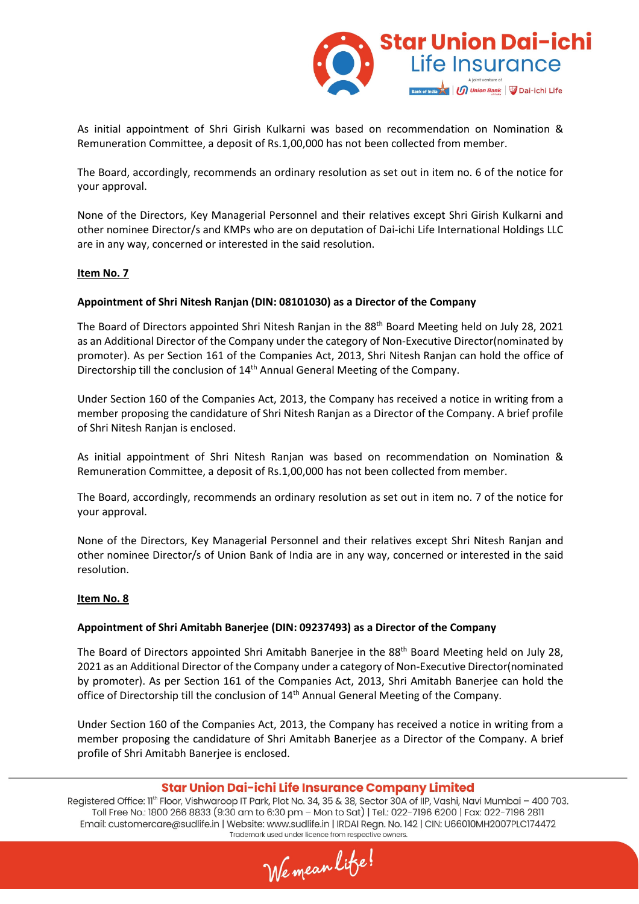

As initial appointment of Shri Girish Kulkarni was based on recommendation on Nomination & Remuneration Committee, a deposit of Rs.1,00,000 has not been collected from member.

The Board, accordingly, recommends an ordinary resolution as set out in item no. 6 of the notice for your approval.

None of the Directors, Key Managerial Personnel and their relatives except Shri Girish Kulkarni and other nominee Director/s and KMPs who are on deputation of Dai-ichi Life International Holdings LLC are in any way, concerned or interested in the said resolution.

#### **Item No. 7**

#### **Appointment of Shri Nitesh Ranjan (DIN: 08101030) as a Director of the Company**

The Board of Directors appointed Shri Nitesh Ranjan in the 88<sup>th</sup> Board Meeting held on July 28, 2021 as an Additional Director of the Company under the category of Non-Executive Director(nominated by promoter). As per Section 161 of the Companies Act, 2013, Shri Nitesh Ranjan can hold the office of Directorship till the conclusion of 14<sup>th</sup> Annual General Meeting of the Company.

Under Section 160 of the Companies Act, 2013, the Company has received a notice in writing from a member proposing the candidature of Shri Nitesh Ranjan as a Director of the Company. A brief profile of Shri Nitesh Ranjan is enclosed.

As initial appointment of Shri Nitesh Ranjan was based on recommendation on Nomination & Remuneration Committee, a deposit of Rs.1,00,000 has not been collected from member.

The Board, accordingly, recommends an ordinary resolution as set out in item no. 7 of the notice for your approval.

None of the Directors, Key Managerial Personnel and their relatives except Shri Nitesh Ranjan and other nominee Director/s of Union Bank of India are in any way, concerned or interested in the said resolution.

#### **Item No. 8**

#### **Appointment of Shri Amitabh Banerjee (DIN: 09237493) as a Director of the Company**

The Board of Directors appointed Shri Amitabh Banerjee in the 88<sup>th</sup> Board Meeting held on July 28, 2021 as an Additional Director of the Company under a category of Non-Executive Director(nominated by promoter). As per Section 161 of the Companies Act, 2013, Shri Amitabh Banerjee can hold the office of Directorship till the conclusion of 14<sup>th</sup> Annual General Meeting of the Company.

Under Section 160 of the Companies Act, 2013, the Company has received a notice in writing from a member proposing the candidature of Shri Amitabh Banerjee as a Director of the Company. A brief profile of Shri Amitabh Banerjee is enclosed.

#### Star Union Dai-ichi Life Insurance Company Limited

We mean lite!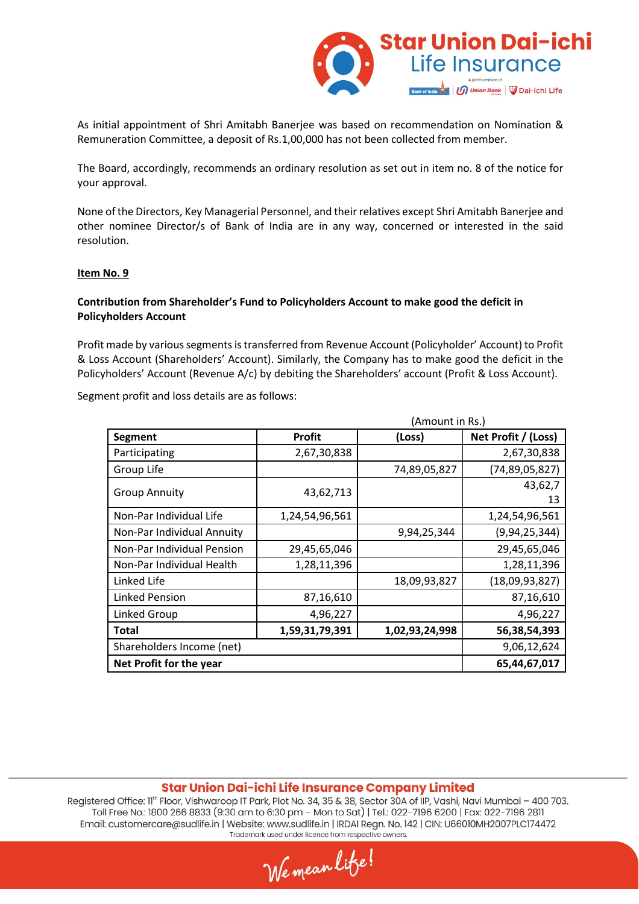

As initial appointment of Shri Amitabh Banerjee was based on recommendation on Nomination & Remuneration Committee, a deposit of Rs.1,00,000 has not been collected from member.

The Board, accordingly, recommends an ordinary resolution as set out in item no. 8 of the notice for your approval.

None of the Directors, Key Managerial Personnel, and their relatives except Shri Amitabh Banerjee and other nominee Director/s of Bank of India are in any way, concerned or interested in the said resolution.

#### **Item No. 9**

### **Contribution from Shareholder's Fund to Policyholders Account to make good the deficit in Policyholders Account**

Profit made by various segments is transferred from Revenue Account (Policyholder' Account) to Profit & Loss Account (Shareholders' Account). Similarly, the Company has to make good the deficit in the Policyholders' Account (Revenue A/c) by debiting the Shareholders' account (Profit & Loss Account).

Segment profit and loss details are as follows:

|                            | (Amount in Rs.) |                |                     |
|----------------------------|-----------------|----------------|---------------------|
| <b>Segment</b>             | <b>Profit</b>   | (Loss)         | Net Profit / (Loss) |
| Participating              | 2,67,30,838     |                | 2,67,30,838         |
| Group Life                 |                 | 74,89,05,827   | (74, 89, 05, 827)   |
| <b>Group Annuity</b>       | 43,62,713       |                | 43,62,7<br>13       |
| Non-Par Individual Life    | 1,24,54,96,561  |                | 1,24,54,96,561      |
| Non-Par Individual Annuity |                 | 9,94,25,344    | (9, 94, 25, 344)    |
| Non-Par Individual Pension | 29,45,65,046    |                | 29,45,65,046        |
| Non-Par Individual Health  | 1,28,11,396     |                | 1,28,11,396         |
| Linked Life                |                 | 18,09,93,827   | (18,09,93,827)      |
| <b>Linked Pension</b>      | 87,16,610       |                | 87,16,610           |
| <b>Linked Group</b>        | 4,96,227        |                | 4,96,227            |
| <b>Total</b>               | 1,59,31,79,391  | 1,02,93,24,998 | 56,38,54,393        |
| Shareholders Income (net)  | 9,06,12,624     |                |                     |
| Net Profit for the year    |                 |                | 65,44,67,017        |

#### Star Union Dai-ichi Life Insurance Company Limited

We mean lite!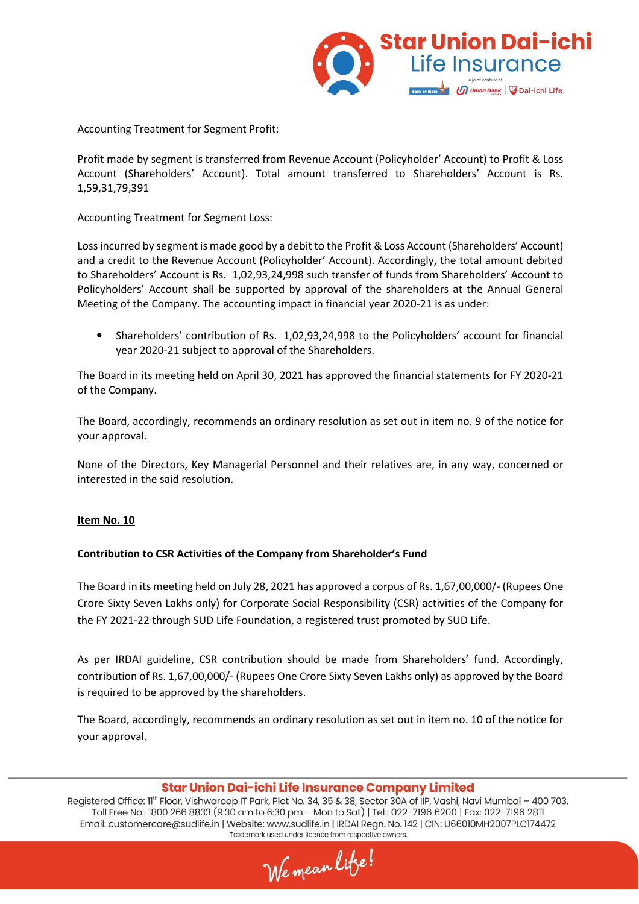

Accounting Treatment for Segment Profit:

Profit made by segment is transferred from Revenue Account (Policyholder' Account) to Profit & Loss Account (Shareholders' Account). Total amount transferred to Shareholders' Account is Rs. 1,59,31,79,391

Accounting Treatment for Segment Loss:

Loss incurred by segment is made good by a debit to the Profit & Loss Account (Shareholders' Account) and a credit to the Revenue Account (Policyholder' Account). Accordingly, the total amount debited to Shareholders' Account is Rs. 1,02,93,24,998 such transfer of funds from Shareholders' Account to Policyholders' Account shall be supported by approval of the shareholders at the Annual General Meeting of the Company. The accounting impact in financial year 2020-21 is as under:

• Shareholders' contribution of Rs. 1,02,93,24,998 to the Policyholders' account for financial year 2020-21 subject to approval of the Shareholders.

The Board in its meeting held on April 30, 2021 has approved the financial statements for FY 2020-21 of the Company.

The Board, accordingly, recommends an ordinary resolution as set out in item no. 9 of the notice for your approval.

None of the Directors, Key Managerial Personnel and their relatives are, in any way, concerned or interested in the said resolution.

#### **Item No. 10**

#### **Contribution to CSR Activities of the Company from Shareholder's Fund**

The Board in its meeting held on July 28, 2021 has approved a corpus of Rs. 1,67,00,000/- (Rupees One Crore Sixty Seven Lakhs only) for Corporate Social Responsibility (CSR) activities of the Company for the FY 2021-22 through SUD Life Foundation, a registered trust promoted by SUD Life.

As per IRDAI guideline, CSR contribution should be made from Shareholders' fund. Accordingly, contribution of Rs. 1,67,00,000/- (Rupees One Crore Sixty Seven Lakhs only) as approved by the Board is required to be approved by the shareholders.

The Board, accordingly, recommends an ordinary resolution as set out in item no. 10 of the notice for your approval.

### Star Union Dai-ichi Life Insurance Company Limited

We mean lite!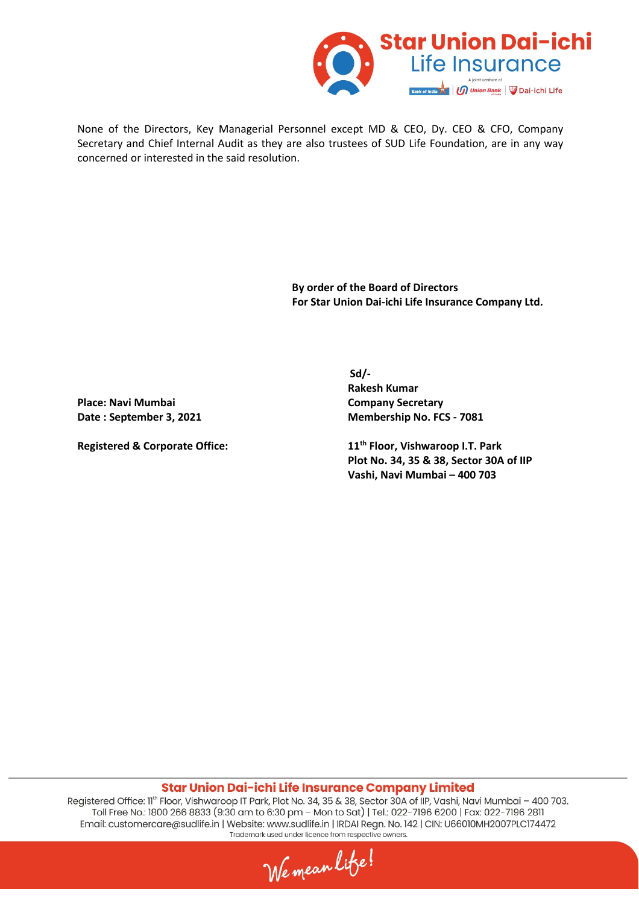

None of the Directors, Key Managerial Personnel except MD & CEO, Dy. CEO & CFO, Company Secretary and Chief Internal Audit as they are also trustees of SUD Life Foundation, are in any way concerned or interested in the said resolution.

> **By order of the Board of Directors For Star Union Dai-ichi Life Insurance Company Ltd.**

Place: Navi Mumbai **Company Secretary** 

**Sd/-**  $S$ **Rakesh Kumar**  Date : September 3, 2021 Membership No. FCS - 7081

**Registered & Corporate Office: 11th Floor, Vishwaroop I.T. Park Plot No. 34, 35 & 38, Sector 30A of IIP Vashi, Navi Mumbai – 400 703** 

Star Union Dai-ichi Life Insurance Company Limited

We mean lite!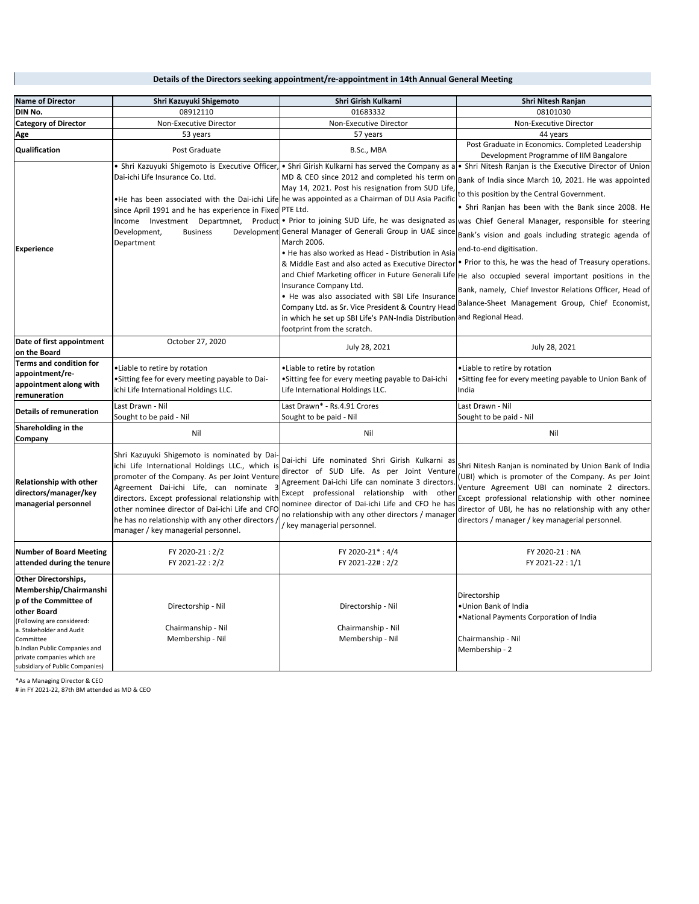| <b>Name of Director</b>                                                                                                                                                                                                                                                 | Shri Kazuyuki Shigemoto                                                                                                                                                                                                                                                                                                                                                                      | Shri Girish Kulkarni                                                                                                                                                                                                                                                                                                                                                                                                                                                                                                                                                                                                                                                                                                               | Shri Nitesh Ranjan                                                                                                                                                                                                                                                                                                                                                                                                                                                                                                                                                                                                                                                                                                                                                    |
|-------------------------------------------------------------------------------------------------------------------------------------------------------------------------------------------------------------------------------------------------------------------------|----------------------------------------------------------------------------------------------------------------------------------------------------------------------------------------------------------------------------------------------------------------------------------------------------------------------------------------------------------------------------------------------|------------------------------------------------------------------------------------------------------------------------------------------------------------------------------------------------------------------------------------------------------------------------------------------------------------------------------------------------------------------------------------------------------------------------------------------------------------------------------------------------------------------------------------------------------------------------------------------------------------------------------------------------------------------------------------------------------------------------------------|-----------------------------------------------------------------------------------------------------------------------------------------------------------------------------------------------------------------------------------------------------------------------------------------------------------------------------------------------------------------------------------------------------------------------------------------------------------------------------------------------------------------------------------------------------------------------------------------------------------------------------------------------------------------------------------------------------------------------------------------------------------------------|
| DIN No.                                                                                                                                                                                                                                                                 | 08912110                                                                                                                                                                                                                                                                                                                                                                                     | 01683332                                                                                                                                                                                                                                                                                                                                                                                                                                                                                                                                                                                                                                                                                                                           | 08101030                                                                                                                                                                                                                                                                                                                                                                                                                                                                                                                                                                                                                                                                                                                                                              |
| <b>Category of Director</b>                                                                                                                                                                                                                                             | Non-Executive Director                                                                                                                                                                                                                                                                                                                                                                       | Non-Executive Director                                                                                                                                                                                                                                                                                                                                                                                                                                                                                                                                                                                                                                                                                                             | Non-Executive Director                                                                                                                                                                                                                                                                                                                                                                                                                                                                                                                                                                                                                                                                                                                                                |
| Age                                                                                                                                                                                                                                                                     | 53 years                                                                                                                                                                                                                                                                                                                                                                                     | 57 years                                                                                                                                                                                                                                                                                                                                                                                                                                                                                                                                                                                                                                                                                                                           | 44 years                                                                                                                                                                                                                                                                                                                                                                                                                                                                                                                                                                                                                                                                                                                                                              |
| Qualification                                                                                                                                                                                                                                                           | Post Graduate                                                                                                                                                                                                                                                                                                                                                                                | B.Sc., MBA                                                                                                                                                                                                                                                                                                                                                                                                                                                                                                                                                                                                                                                                                                                         | Post Graduate in Economics. Completed Leadership<br>Development Programme of IIM Bangalore                                                                                                                                                                                                                                                                                                                                                                                                                                                                                                                                                                                                                                                                            |
| <b>Experience</b>                                                                                                                                                                                                                                                       | Dai-ichi Life Insurance Co. Ltd.<br>since April 1991 and he has experience in Fixed PTE Ltd.<br>Development,<br><b>Business</b><br>Department                                                                                                                                                                                                                                                | Shri Kazuyuki Shigemoto is Executive Officer, • Shri Girish Kulkarni has served the Company as a •<br>MD & CEO since 2012 and completed his term on<br>May 14, 2021. Post his resignation from SUD Life,<br>. He has been associated with the Dai-ichi Life he was appointed as a Chairman of DLI Asia Pacific<br>Development General Manager of Generali Group in UAE since<br>March 2006.<br>. He has also worked as Head - Distribution in Asia<br>& Middle East and also acted as Executive Director<br>Insurance Company Ltd.<br>. He was also associated with SBI Life Insurance<br>Company Ltd. as Sr. Vice President & Country Head<br>in which he set up SBI Life's PAN-India Distribution<br>footprint from the scratch. | • Shri Nitesh Ranjan is the Executive Director of Union<br>Bank of India since March 10, 2021. He was appointed<br>to this position by the Central Government.<br>• Shri Ranjan has been with the Bank since 2008. He<br>Income Investment Departmnet, Product • Prior to joining SUD Life, he was designated as was Chief General Manager, responsible for steering<br>Bank's vision and goals including strategic agenda of<br>end-to-end digitisation.<br>. Prior to this, he was the head of Treasury operations.<br>and Chief Marketing officer in Future Generali Life He also occupied several important positions in the<br>Bank, namely, Chief Investor Relations Officer, Head of<br>Balance-Sheet Management Group, Chief Economist,<br>and Regional Head. |
| Date of first appointment<br>on the Board                                                                                                                                                                                                                               | October 27, 2020                                                                                                                                                                                                                                                                                                                                                                             | July 28, 2021                                                                                                                                                                                                                                                                                                                                                                                                                                                                                                                                                                                                                                                                                                                      | July 28, 2021                                                                                                                                                                                                                                                                                                                                                                                                                                                                                                                                                                                                                                                                                                                                                         |
| <b>Terms and condition for</b><br>appointment/re-<br>appointment along with<br>remuneration                                                                                                                                                                             | ·Liable to retire by rotation<br>•Sitting fee for every meeting payable to Dai-<br>ichi Life International Holdings LLC.                                                                                                                                                                                                                                                                     | •Liable to retire by rotation<br>•Sitting fee for every meeting payable to Dai-ichi<br>Life International Holdings LLC.                                                                                                                                                                                                                                                                                                                                                                                                                                                                                                                                                                                                            | •Liable to retire by rotation<br>•Sitting fee for every meeting payable to Union Bank of<br>India                                                                                                                                                                                                                                                                                                                                                                                                                                                                                                                                                                                                                                                                     |
| <b>Details of remuneration</b>                                                                                                                                                                                                                                          | Last Drawn - Nil<br>Sought to be paid - Nil                                                                                                                                                                                                                                                                                                                                                  | Last Drawn* - Rs.4.91 Crores<br>Sought to be paid - Nil                                                                                                                                                                                                                                                                                                                                                                                                                                                                                                                                                                                                                                                                            | Last Drawn - Nil<br>Sought to be paid - Nil                                                                                                                                                                                                                                                                                                                                                                                                                                                                                                                                                                                                                                                                                                                           |
| Shareholding in the<br>Company                                                                                                                                                                                                                                          | Nil                                                                                                                                                                                                                                                                                                                                                                                          | Nil                                                                                                                                                                                                                                                                                                                                                                                                                                                                                                                                                                                                                                                                                                                                | Nil                                                                                                                                                                                                                                                                                                                                                                                                                                                                                                                                                                                                                                                                                                                                                                   |
| Relationship with other<br>directors/manager/key<br>managerial personnel                                                                                                                                                                                                | Shri Kazuyuki Shigemoto is nominated by Dai-<br>ichi Life International Holdings LLC., which is<br>promoter of the Company. As per Joint Venture<br>Agreement Dai-ichi Life, can nominate 3<br>directors. Except professional relationship with<br>other nominee director of Dai-ichi Life and CFO<br>he has no relationship with any other directors<br>manager / key managerial personnel. | Dai-ichi Life nominated Shri Girish Kulkarni as<br>director of SUD Life. As per Joint Venture<br>Agreement Dai-ichi Life can nominate 3 directors.<br>Except professional relationship with other<br>nominee director of Dai-ichi Life and CFO he has<br>no relationship with any other directors / manager<br>/ key managerial personnel.                                                                                                                                                                                                                                                                                                                                                                                         | Shri Nitesh Ranjan is nominated by Union Bank of India<br>(UBI) which is promoter of the Company. As per Joint<br>Venture Agreement UBI can nominate 2 directors.<br>Except professional relationship with other nominee<br>director of UBI, he has no relationship with any other<br>directors / manager / key managerial personnel.                                                                                                                                                                                                                                                                                                                                                                                                                                 |
| <b>Number of Board Meeting</b><br>attended during the tenure                                                                                                                                                                                                            | FY 2020-21:2/2<br>FY 2021-22: 2/2                                                                                                                                                                                                                                                                                                                                                            | FY 2020-21*: 4/4<br>FY 2021-22#: 2/2                                                                                                                                                                                                                                                                                                                                                                                                                                                                                                                                                                                                                                                                                               | FY 2020-21: NA<br>FY 2021-22:1/1                                                                                                                                                                                                                                                                                                                                                                                                                                                                                                                                                                                                                                                                                                                                      |
| <b>Other Directorships,</b><br>Membership/Chairmanshi<br>p of the Committee of<br>other Board<br>(Following are considered:<br>a. Stakeholder and Audit<br>Committee<br>b.Indian Public Companies and<br>private companies which are<br>subsidiary of Public Companies) | Directorship - Nil<br>Chairmanship - Nil<br>Membership - Nil                                                                                                                                                                                                                                                                                                                                 | Directorship - Nil<br>Chairmanship - Nil<br>Membership - Nil                                                                                                                                                                                                                                                                                                                                                                                                                                                                                                                                                                                                                                                                       | Directorship<br>·Union Bank of India<br>.National Payments Corporation of India<br>Chairmanship - Nil<br>Membership - 2                                                                                                                                                                                                                                                                                                                                                                                                                                                                                                                                                                                                                                               |

#### **Details of the Directors seeking appointment/re-appointment in 14th Annual General Meeting**

\*As a Managing Director & CEO # in FY 2021-22, 87th BM attended as MD & CEO